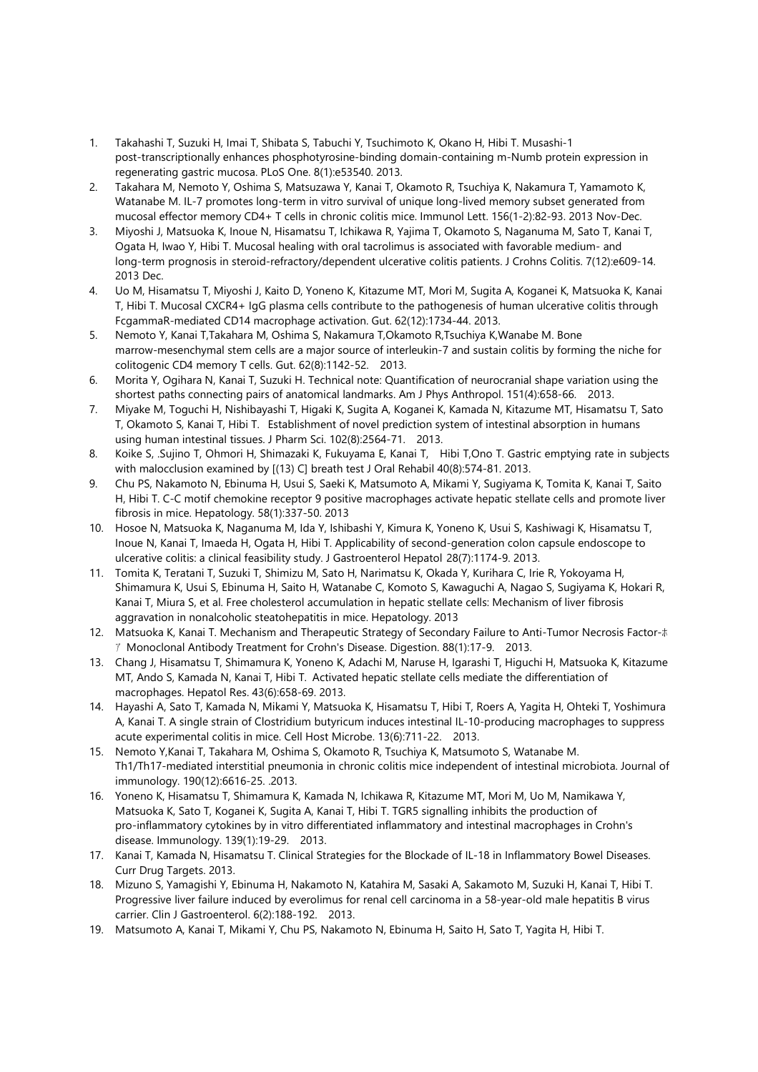- 1. Takahashi T, Suzuki H, Imai T, Shibata S, Tabuchi Y, Tsuchimoto K, Okano H, Hibi T. Musashi-1 post-transcriptionally enhances phosphotyrosine-binding domain-containing m-Numb protein expression in regenerating gastric mucosa. PLoS One. 8(1):e53540. 2013.
- 2. Takahara M, Nemoto Y, Oshima S, Matsuzawa Y, Kanai T, Okamoto R, Tsuchiya K, Nakamura T, Yamamoto K, Watanabe M. IL-7 promotes long-term in vitro survival of unique long-lived memory subset generated from mucosal effector memory CD4+ T cells in chronic colitis mice. Immunol Lett. 156(1-2):82-93. 2013 Nov-Dec.
- 3. Miyoshi J, Matsuoka K, Inoue N, Hisamatsu T, Ichikawa R, Yajima T, Okamoto S, Naganuma M, Sato T, Kanai T, Ogata H, Iwao Y, Hibi T. Mucosal healing with oral tacrolimus is associated with favorable medium- and long-term prognosis in steroid-refractory/dependent ulcerative colitis patients. J Crohns Colitis. 7(12):e609-14. 2013 Dec.
- 4. Uo M, Hisamatsu T, Miyoshi J, Kaito D, Yoneno K, Kitazume MT, Mori M, Sugita A, Koganei K, Matsuoka K, Kanai T, Hibi T. Mucosal CXCR4+ IgG plasma cells contribute to the pathogenesis of human ulcerative colitis through FcgammaR-mediated CD14 macrophage activation. Gut. 62(12):1734-44. 2013.
- 5. Nemoto Y, Kanai T,Takahara M, Oshima S, Nakamura T,Okamoto R,Tsuchiya K,Wanabe M. Bone marrow-mesenchymal stem cells are a major source of interleukin-7 and sustain colitis by forming the niche for colitogenic CD4 memory T cells. Gut. 62(8):1142-52. 2013.
- 6. Morita Y, Ogihara N, Kanai T, Suzuki H. Technical note: Quantification of neurocranial shape variation using the shortest paths connecting pairs of anatomical landmarks. Am J Phys Anthropol. 151(4):658-66. 2013.
- 7. Miyake M, Toguchi H, Nishibayashi T, Higaki K, Sugita A, Koganei K, Kamada N, Kitazume MT, Hisamatsu T, Sato T, Okamoto S, Kanai T, Hibi T. Establishment of novel prediction system of intestinal absorption in humans using human intestinal tissues. J Pharm Sci. 102(8):2564-71. 2013.
- 8. Koike S, .Sujino T, Ohmori H, Shimazaki K, Fukuyama E, Kanai T, Hibi T,Ono T. Gastric emptying rate in subjects with malocclusion examined by [(13) C] breath test J Oral Rehabil 40(8):574-81. 2013.
- 9. Chu PS, Nakamoto N, Ebinuma H, Usui S, Saeki K, Matsumoto A, Mikami Y, Sugiyama K, Tomita K, Kanai T, Saito H, Hibi T. C-C motif chemokine receptor 9 positive macrophages activate hepatic stellate cells and promote liver fibrosis in mice. Hepatology. 58(1):337-50. 2013
- 10. Hosoe N, Matsuoka K, Naganuma M, Ida Y, Ishibashi Y, Kimura K, Yoneno K, Usui S, Kashiwagi K, Hisamatsu T, Inoue N, Kanai T, Imaeda H, Ogata H, Hibi T. Applicability of second-generation colon capsule endoscope to ulcerative colitis: a clinical feasibility study. J Gastroenterol Hepatol 28(7):1174-9. 2013.
- 11. Tomita K, Teratani T, Suzuki T, Shimizu M, Sato H, Narimatsu K, Okada Y, Kurihara C, Irie R, Yokoyama H, Shimamura K, Usui S, Ebinuma H, Saito H, Watanabe C, Komoto S, Kawaguchi A, Nagao S, Sugiyama K, Hokari R, Kanai T, Miura S, et al. Free cholesterol accumulation in hepatic stellate cells: Mechanism of liver fibrosis aggravation in nonalcoholic steatohepatitis in mice. Hepatology. 2013
- 12. Matsuoka K, Kanai T. Mechanism and Therapeutic Strategy of Secondary Failure to Anti-Tumor Necrosis Factor-ホ ア Monoclonal Antibody Treatment for Crohn's Disease. Digestion. 88(1):17-9. 2013.
- 13. Chang J, Hisamatsu T, Shimamura K, Yoneno K, Adachi M, Naruse H, Igarashi T, Higuchi H, Matsuoka K, Kitazume MT, Ando S, Kamada N, Kanai T, Hibi T. Activated hepatic stellate cells mediate the differentiation of macrophages. Hepatol Res. 43(6):658-69. 2013.
- 14. Hayashi A, Sato T, Kamada N, Mikami Y, Matsuoka K, Hisamatsu T, Hibi T, Roers A, Yagita H, Ohteki T, Yoshimura A, Kanai T. A single strain of Clostridium butyricum induces intestinal IL-10-producing macrophages to suppress acute experimental colitis in mice. Cell Host Microbe. 13(6):711-22. 2013.
- 15. Nemoto Y,Kanai T, Takahara M, Oshima S, Okamoto R, Tsuchiya K, Matsumoto S, Watanabe M. Th1/Th17-mediated interstitial pneumonia in chronic colitis mice independent of intestinal microbiota. Journal of immunology. 190(12):6616-25. .2013.
- 16. Yoneno K, Hisamatsu T, Shimamura K, Kamada N, Ichikawa R, Kitazume MT, Mori M, Uo M, Namikawa Y, Matsuoka K, Sato T, Koganei K, Sugita A, Kanai T, Hibi T. TGR5 signalling inhibits the production of pro-inflammatory cytokines by in vitro differentiated inflammatory and intestinal macrophages in Crohn's disease. Immunology. 139(1):19-29. 2013.
- 17. Kanai T, Kamada N, Hisamatsu T. Clinical Strategies for the Blockade of IL-18 in Inflammatory Bowel Diseases. Curr Drug Targets. 2013.
- 18. Mizuno S, Yamagishi Y, Ebinuma H, Nakamoto N, Katahira M, Sasaki A, Sakamoto M, Suzuki H, Kanai T, Hibi T. Progressive liver failure induced by everolimus for renal cell carcinoma in a 58-year-old male hepatitis B virus carrier. Clin J Gastroenterol. 6(2):188-192. 2013.
- 19. Matsumoto A, Kanai T, Mikami Y, Chu PS, Nakamoto N, Ebinuma H, Saito H, Sato T, Yagita H, Hibi T.